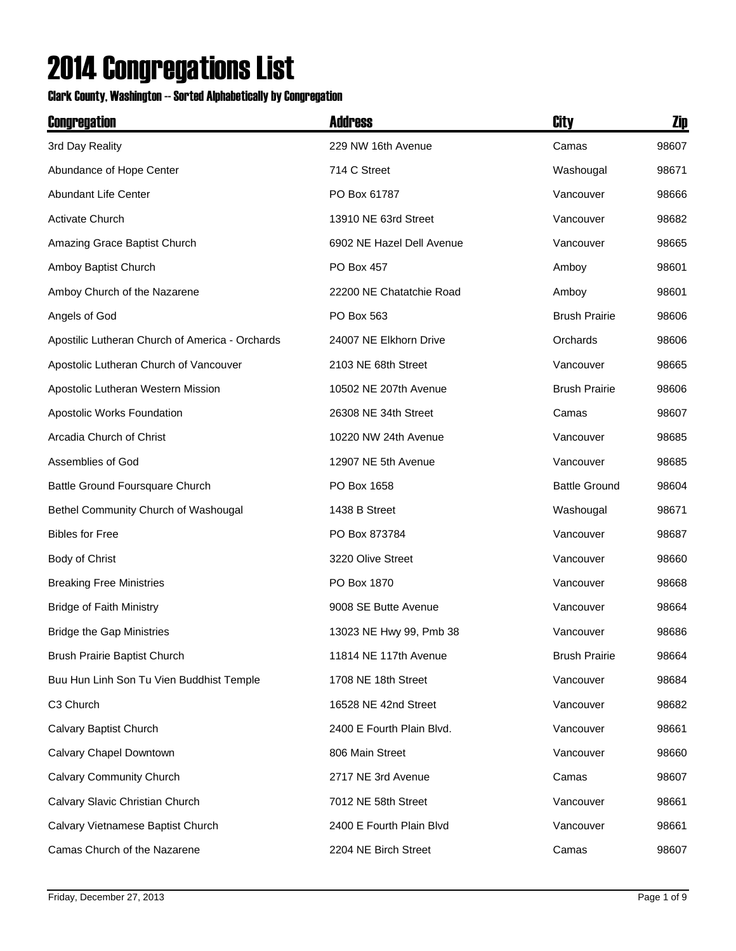## 2014 Congregations List

## Clark County, Washington -- Sorted Alphabetically by Congregation

| Congregation                                    | <b>Address</b>            | City                 | Zip   |
|-------------------------------------------------|---------------------------|----------------------|-------|
| 3rd Day Reality                                 | 229 NW 16th Avenue        | Camas                | 98607 |
| Abundance of Hope Center                        | 714 C Street              | Washougal            | 98671 |
| Abundant Life Center                            | PO Box 61787              | Vancouver            | 98666 |
| Activate Church                                 | 13910 NE 63rd Street      | Vancouver            | 98682 |
| Amazing Grace Baptist Church                    | 6902 NE Hazel Dell Avenue | Vancouver            | 98665 |
| Amboy Baptist Church                            | <b>PO Box 457</b>         | Amboy                | 98601 |
| Amboy Church of the Nazarene                    | 22200 NE Chatatchie Road  | Amboy                | 98601 |
| Angels of God                                   | PO Box 563                | <b>Brush Prairie</b> | 98606 |
| Apostilic Lutheran Church of America - Orchards | 24007 NE Elkhorn Drive    | Orchards             | 98606 |
| Apostolic Lutheran Church of Vancouver          | 2103 NE 68th Street       | Vancouver            | 98665 |
| Apostolic Lutheran Western Mission              | 10502 NE 207th Avenue     | <b>Brush Prairie</b> | 98606 |
| Apostolic Works Foundation                      | 26308 NE 34th Street      | Camas                | 98607 |
| Arcadia Church of Christ                        | 10220 NW 24th Avenue      | Vancouver            | 98685 |
| Assemblies of God                               | 12907 NE 5th Avenue       | Vancouver            | 98685 |
| Battle Ground Foursquare Church                 | PO Box 1658               | <b>Battle Ground</b> | 98604 |
| Bethel Community Church of Washougal            | 1438 B Street             | Washougal            | 98671 |
| <b>Bibles for Free</b>                          | PO Box 873784             | Vancouver            | 98687 |
| Body of Christ                                  | 3220 Olive Street         | Vancouver            | 98660 |
| <b>Breaking Free Ministries</b>                 | PO Box 1870               | Vancouver            | 98668 |
| <b>Bridge of Faith Ministry</b>                 | 9008 SE Butte Avenue      | Vancouver            | 98664 |
| <b>Bridge the Gap Ministries</b>                | 13023 NE Hwy 99, Pmb 38   | Vancouver            | 98686 |
| Brush Prairie Baptist Church                    | 11814 NE 117th Avenue     | <b>Brush Prairie</b> | 98664 |
| Buu Hun Linh Son Tu Vien Buddhist Temple        | 1708 NE 18th Street       | Vancouver            | 98684 |
| C3 Church                                       | 16528 NE 42nd Street      | Vancouver            | 98682 |
| Calvary Baptist Church                          | 2400 E Fourth Plain Blvd. | Vancouver            | 98661 |
| Calvary Chapel Downtown                         | 806 Main Street           | Vancouver            | 98660 |
| Calvary Community Church                        | 2717 NE 3rd Avenue        | Camas                | 98607 |
| Calvary Slavic Christian Church                 | 7012 NE 58th Street       | Vancouver            | 98661 |
| Calvary Vietnamese Baptist Church               | 2400 E Fourth Plain Blvd  | Vancouver            | 98661 |
| Camas Church of the Nazarene                    | 2204 NE Birch Street      | Camas                | 98607 |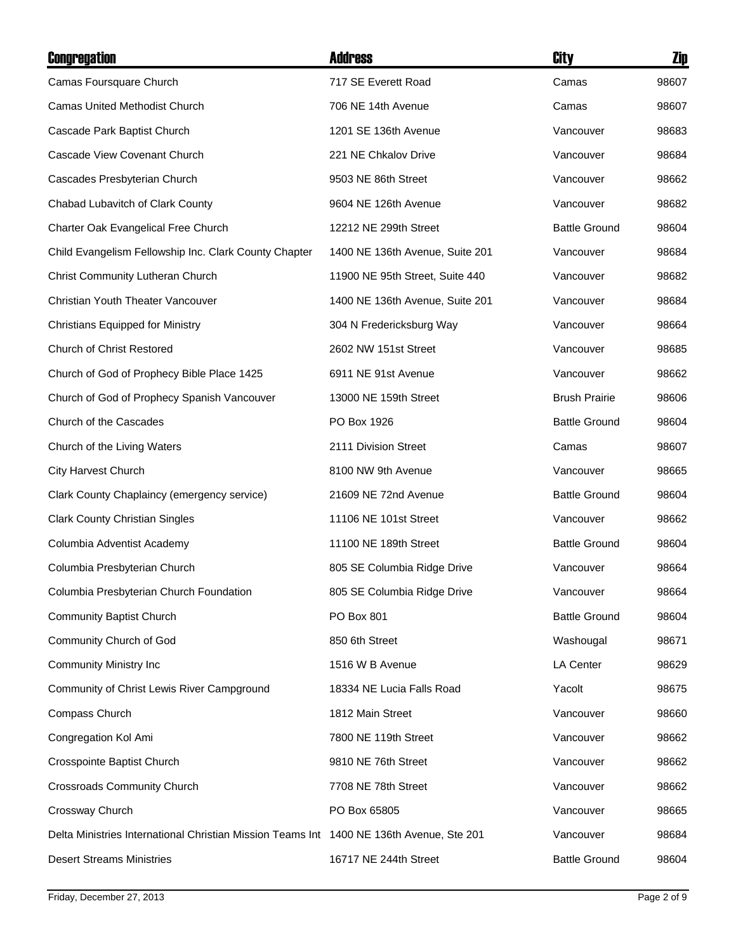| Congregation                                                                             | <b>Address</b>                  | City                 | Zip   |
|------------------------------------------------------------------------------------------|---------------------------------|----------------------|-------|
| Camas Foursquare Church                                                                  | 717 SE Everett Road             | Camas                | 98607 |
| <b>Camas United Methodist Church</b>                                                     | 706 NE 14th Avenue              | Camas                | 98607 |
| Cascade Park Baptist Church                                                              | 1201 SE 136th Avenue            | Vancouver            | 98683 |
| Cascade View Covenant Church                                                             | 221 NE Chkalov Drive            | Vancouver            | 98684 |
| Cascades Presbyterian Church                                                             | 9503 NE 86th Street             | Vancouver            | 98662 |
| Chabad Lubavitch of Clark County                                                         | 9604 NE 126th Avenue            | Vancouver            | 98682 |
| Charter Oak Evangelical Free Church                                                      | 12212 NE 299th Street           | <b>Battle Ground</b> | 98604 |
| Child Evangelism Fellowship Inc. Clark County Chapter                                    | 1400 NE 136th Avenue, Suite 201 | Vancouver            | 98684 |
| Christ Community Lutheran Church                                                         | 11900 NE 95th Street, Suite 440 | Vancouver            | 98682 |
| Christian Youth Theater Vancouver                                                        | 1400 NE 136th Avenue, Suite 201 | Vancouver            | 98684 |
| <b>Christians Equipped for Ministry</b>                                                  | 304 N Fredericksburg Way        | Vancouver            | 98664 |
| <b>Church of Christ Restored</b>                                                         | 2602 NW 151st Street            | Vancouver            | 98685 |
| Church of God of Prophecy Bible Place 1425                                               | 6911 NE 91st Avenue             | Vancouver            | 98662 |
| Church of God of Prophecy Spanish Vancouver                                              | 13000 NE 159th Street           | <b>Brush Prairie</b> | 98606 |
| Church of the Cascades                                                                   | PO Box 1926                     | <b>Battle Ground</b> | 98604 |
| Church of the Living Waters                                                              | 2111 Division Street            | Camas                | 98607 |
| <b>City Harvest Church</b>                                                               | 8100 NW 9th Avenue              | Vancouver            | 98665 |
| Clark County Chaplaincy (emergency service)                                              | 21609 NE 72nd Avenue            | <b>Battle Ground</b> | 98604 |
| <b>Clark County Christian Singles</b>                                                    | 11106 NE 101st Street           | Vancouver            | 98662 |
| Columbia Adventist Academy                                                               | 11100 NE 189th Street           | <b>Battle Ground</b> | 98604 |
| Columbia Presbyterian Church                                                             | 805 SE Columbia Ridge Drive     | Vancouver            | 98664 |
| Columbia Presbyterian Church Foundation                                                  | 805 SE Columbia Ridge Drive     | Vancouver            | 98664 |
| <b>Community Baptist Church</b>                                                          | PO Box 801                      | <b>Battle Ground</b> | 98604 |
| Community Church of God                                                                  | 850 6th Street                  | Washougal            | 98671 |
| <b>Community Ministry Inc.</b>                                                           | 1516 W B Avenue                 | LA Center            | 98629 |
| Community of Christ Lewis River Campground                                               | 18334 NE Lucia Falls Road       | Yacolt               | 98675 |
| Compass Church                                                                           | 1812 Main Street                | Vancouver            | 98660 |
| Congregation Kol Ami                                                                     | 7800 NE 119th Street            | Vancouver            | 98662 |
| Crosspointe Baptist Church                                                               | 9810 NE 76th Street             | Vancouver            | 98662 |
| <b>Crossroads Community Church</b>                                                       | 7708 NE 78th Street             | Vancouver            | 98662 |
| Crossway Church                                                                          | PO Box 65805                    | Vancouver            | 98665 |
| Delta Ministries International Christian Mission Teams Int 1400 NE 136th Avenue, Ste 201 |                                 | Vancouver            | 98684 |
| <b>Desert Streams Ministries</b>                                                         | 16717 NE 244th Street           | <b>Battle Ground</b> | 98604 |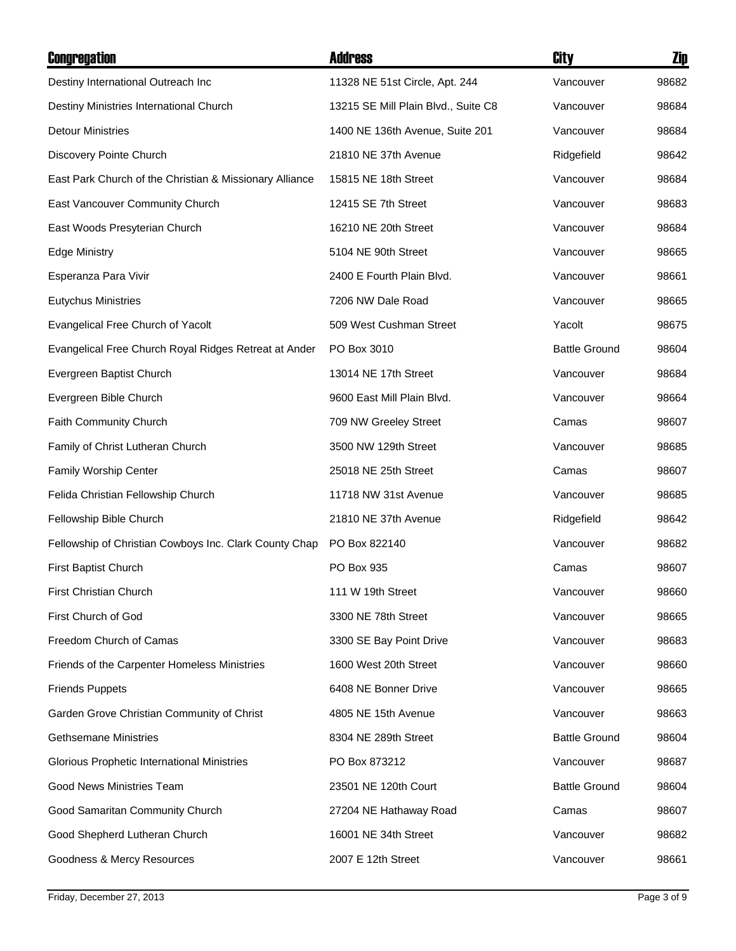| Congregation                                            | <b>Address</b>                      | City                 | Zip   |
|---------------------------------------------------------|-------------------------------------|----------------------|-------|
| Destiny International Outreach Inc                      | 11328 NE 51st Circle, Apt. 244      | Vancouver            | 98682 |
| Destiny Ministries International Church                 | 13215 SE Mill Plain Blvd., Suite C8 | Vancouver            | 98684 |
| <b>Detour Ministries</b>                                | 1400 NE 136th Avenue, Suite 201     | Vancouver            | 98684 |
| Discovery Pointe Church                                 | 21810 NE 37th Avenue                | Ridgefield           | 98642 |
| East Park Church of the Christian & Missionary Alliance | 15815 NE 18th Street                | Vancouver            | 98684 |
| East Vancouver Community Church                         | 12415 SE 7th Street                 | Vancouver            | 98683 |
| East Woods Presyterian Church                           | 16210 NE 20th Street                | Vancouver            | 98684 |
| <b>Edge Ministry</b>                                    | 5104 NE 90th Street                 | Vancouver            | 98665 |
| Esperanza Para Vivir                                    | 2400 E Fourth Plain Blvd.           | Vancouver            | 98661 |
| <b>Eutychus Ministries</b>                              | 7206 NW Dale Road                   | Vancouver            | 98665 |
| Evangelical Free Church of Yacolt                       | 509 West Cushman Street             | Yacolt               | 98675 |
| Evangelical Free Church Royal Ridges Retreat at Ander   | PO Box 3010                         | <b>Battle Ground</b> | 98604 |
| Evergreen Baptist Church                                | 13014 NE 17th Street                | Vancouver            | 98684 |
| Evergreen Bible Church                                  | 9600 East Mill Plain Blvd.          | Vancouver            | 98664 |
| Faith Community Church                                  | 709 NW Greeley Street               | Camas                | 98607 |
| Family of Christ Lutheran Church                        | 3500 NW 129th Street                | Vancouver            | 98685 |
| Family Worship Center                                   | 25018 NE 25th Street                | Camas                | 98607 |
| Felida Christian Fellowship Church                      | 11718 NW 31st Avenue                | Vancouver            | 98685 |
| Fellowship Bible Church                                 | 21810 NE 37th Avenue                | Ridgefield           | 98642 |
| Fellowship of Christian Cowboys Inc. Clark County Chap  | PO Box 822140                       | Vancouver            | 98682 |
| First Baptist Church                                    | PO Box 935                          | Camas                | 98607 |
| First Christian Church                                  | 111 W 19th Street                   | Vancouver            | 98660 |
| First Church of God                                     | 3300 NE 78th Street                 | Vancouver            | 98665 |
| Freedom Church of Camas                                 | 3300 SE Bay Point Drive             | Vancouver            | 98683 |
| Friends of the Carpenter Homeless Ministries            | 1600 West 20th Street               | Vancouver            | 98660 |
| <b>Friends Puppets</b>                                  | 6408 NE Bonner Drive                | Vancouver            | 98665 |
| Garden Grove Christian Community of Christ              | 4805 NE 15th Avenue                 | Vancouver            | 98663 |
| <b>Gethsemane Ministries</b>                            | 8304 NE 289th Street                | <b>Battle Ground</b> | 98604 |
| Glorious Prophetic International Ministries             | PO Box 873212                       | Vancouver            | 98687 |
| Good News Ministries Team                               | 23501 NE 120th Court                | <b>Battle Ground</b> | 98604 |
| Good Samaritan Community Church                         | 27204 NE Hathaway Road              | Camas                | 98607 |
| Good Shepherd Lutheran Church                           | 16001 NE 34th Street                | Vancouver            | 98682 |
| Goodness & Mercy Resources                              | 2007 E 12th Street                  | Vancouver            | 98661 |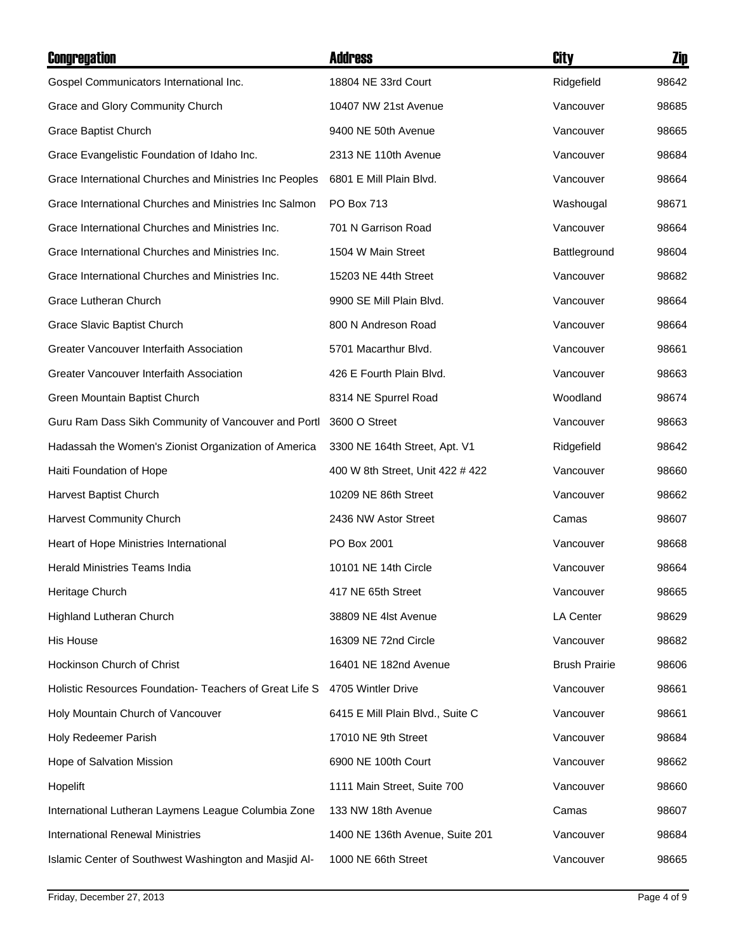| <b>Congregation</b>                                     | <b>Address</b>                   | City                 | Zip   |
|---------------------------------------------------------|----------------------------------|----------------------|-------|
| Gospel Communicators International Inc.                 | 18804 NE 33rd Court              | Ridgefield           | 98642 |
| Grace and Glory Community Church                        | 10407 NW 21st Avenue             | Vancouver            | 98685 |
| Grace Baptist Church                                    | 9400 NE 50th Avenue              | Vancouver            | 98665 |
| Grace Evangelistic Foundation of Idaho Inc.             | 2313 NE 110th Avenue             | Vancouver            | 98684 |
| Grace International Churches and Ministries Inc Peoples | 6801 E Mill Plain Blvd.          | Vancouver            | 98664 |
| Grace International Churches and Ministries Inc Salmon  | PO Box 713                       | Washougal            | 98671 |
| Grace International Churches and Ministries Inc.        | 701 N Garrison Road              | Vancouver            | 98664 |
| Grace International Churches and Ministries Inc.        | 1504 W Main Street               | Battleground         | 98604 |
| Grace International Churches and Ministries Inc.        | 15203 NE 44th Street             | Vancouver            | 98682 |
| Grace Lutheran Church                                   | 9900 SE Mill Plain Blvd.         | Vancouver            | 98664 |
| Grace Slavic Baptist Church                             | 800 N Andreson Road              | Vancouver            | 98664 |
| Greater Vancouver Interfaith Association                | 5701 Macarthur Blvd.             | Vancouver            | 98661 |
| Greater Vancouver Interfaith Association                | 426 E Fourth Plain Blvd.         | Vancouver            | 98663 |
| Green Mountain Baptist Church                           | 8314 NE Spurrel Road             | Woodland             | 98674 |
| Guru Ram Dass Sikh Community of Vancouver and Portl     | 3600 O Street                    | Vancouver            | 98663 |
| Hadassah the Women's Zionist Organization of America    | 3300 NE 164th Street, Apt. V1    | Ridgefield           | 98642 |
| Haiti Foundation of Hope                                | 400 W 8th Street, Unit 422 # 422 | Vancouver            | 98660 |
| Harvest Baptist Church                                  | 10209 NE 86th Street             | Vancouver            | 98662 |
| Harvest Community Church                                | 2436 NW Astor Street             | Camas                | 98607 |
| Heart of Hope Ministries International                  | PO Box 2001                      | Vancouver            | 98668 |
| <b>Herald Ministries Teams India</b>                    | 10101 NE 14th Circle             | Vancouver            | 98664 |
| Heritage Church                                         | 417 NE 65th Street               | Vancouver            | 98665 |
| Highland Lutheran Church                                | 38809 NE 41st Avenue             | <b>LA Center</b>     | 98629 |
| His House                                               | 16309 NE 72nd Circle             | Vancouver            | 98682 |
| Hockinson Church of Christ                              | 16401 NE 182nd Avenue            | <b>Brush Prairie</b> | 98606 |
| Holistic Resources Foundation- Teachers of Great Life S | 4705 Wintler Drive               | Vancouver            | 98661 |
| Holy Mountain Church of Vancouver                       | 6415 E Mill Plain Blvd., Suite C | Vancouver            | 98661 |
| Holy Redeemer Parish                                    | 17010 NE 9th Street              | Vancouver            | 98684 |
| Hope of Salvation Mission                               | 6900 NE 100th Court              | Vancouver            | 98662 |
| Hopelift                                                | 1111 Main Street, Suite 700      | Vancouver            | 98660 |
| International Lutheran Laymens League Columbia Zone     | 133 NW 18th Avenue               | Camas                | 98607 |
| <b>International Renewal Ministries</b>                 | 1400 NE 136th Avenue, Suite 201  | Vancouver            | 98684 |
| Islamic Center of Southwest Washington and Masjid Al-   | 1000 NE 66th Street              | Vancouver            | 98665 |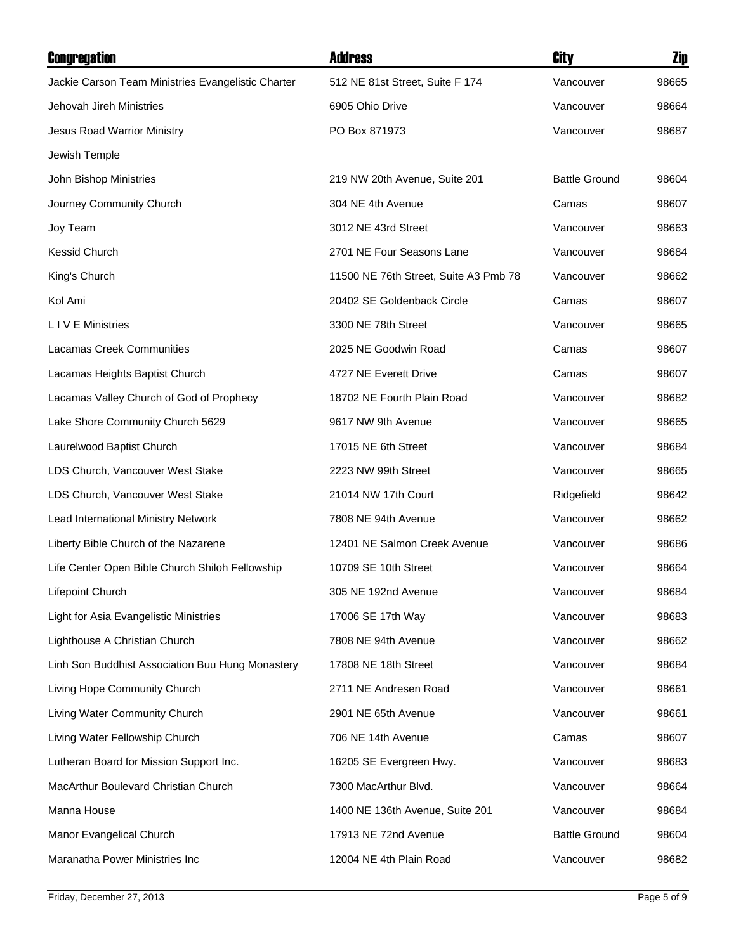| <b>Congregation</b>                                | <b>Address</b>                        | City                 | <u>Zip</u> |
|----------------------------------------------------|---------------------------------------|----------------------|------------|
| Jackie Carson Team Ministries Evangelistic Charter | 512 NE 81st Street, Suite F 174       | Vancouver            | 98665      |
| Jehovah Jireh Ministries                           | 6905 Ohio Drive                       | Vancouver            | 98664      |
| Jesus Road Warrior Ministry                        | PO Box 871973                         | Vancouver            | 98687      |
| Jewish Temple                                      |                                       |                      |            |
| John Bishop Ministries                             | 219 NW 20th Avenue, Suite 201         | <b>Battle Ground</b> | 98604      |
| Journey Community Church                           | 304 NE 4th Avenue                     | Camas                | 98607      |
| Joy Team                                           | 3012 NE 43rd Street                   | Vancouver            | 98663      |
| Kessid Church                                      | 2701 NE Four Seasons Lane             | Vancouver            | 98684      |
| King's Church                                      | 11500 NE 76th Street, Suite A3 Pmb 78 | Vancouver            | 98662      |
| Kol Ami                                            | 20402 SE Goldenback Circle            | Camas                | 98607      |
| L I V E Ministries                                 | 3300 NE 78th Street                   | Vancouver            | 98665      |
| Lacamas Creek Communities                          | 2025 NE Goodwin Road                  | Camas                | 98607      |
| Lacamas Heights Baptist Church                     | 4727 NE Everett Drive                 | Camas                | 98607      |
| Lacamas Valley Church of God of Prophecy           | 18702 NE Fourth Plain Road            | Vancouver            | 98682      |
| Lake Shore Community Church 5629                   | 9617 NW 9th Avenue                    | Vancouver            | 98665      |
| Laurelwood Baptist Church                          | 17015 NE 6th Street                   | Vancouver            | 98684      |
| LDS Church, Vancouver West Stake                   | 2223 NW 99th Street                   | Vancouver            | 98665      |
| LDS Church, Vancouver West Stake                   | 21014 NW 17th Court                   | Ridgefield           | 98642      |
| Lead International Ministry Network                | 7808 NE 94th Avenue                   | Vancouver            | 98662      |
| Liberty Bible Church of the Nazarene               | 12401 NE Salmon Creek Avenue          | Vancouver            | 98686      |
| Life Center Open Bible Church Shiloh Fellowship    | 10709 SE 10th Street                  | Vancouver            | 98664      |
| Lifepoint Church                                   | 305 NE 192nd Avenue                   | Vancouver            | 98684      |
| Light for Asia Evangelistic Ministries             | 17006 SE 17th Way                     | Vancouver            | 98683      |
| Lighthouse A Christian Church                      | 7808 NE 94th Avenue                   | Vancouver            | 98662      |
| Linh Son Buddhist Association Buu Hung Monastery   | 17808 NE 18th Street                  | Vancouver            | 98684      |
| Living Hope Community Church                       | 2711 NE Andresen Road                 | Vancouver            | 98661      |
| Living Water Community Church                      | 2901 NE 65th Avenue                   | Vancouver            | 98661      |
| Living Water Fellowship Church                     | 706 NE 14th Avenue                    | Camas                | 98607      |
| Lutheran Board for Mission Support Inc.            | 16205 SE Evergreen Hwy.               | Vancouver            | 98683      |
| MacArthur Boulevard Christian Church               | 7300 MacArthur Blvd.                  | Vancouver            | 98664      |
| Manna House                                        | 1400 NE 136th Avenue, Suite 201       | Vancouver            | 98684      |
| Manor Evangelical Church                           | 17913 NE 72nd Avenue                  | <b>Battle Ground</b> | 98604      |
| Maranatha Power Ministries Inc                     | 12004 NE 4th Plain Road               | Vancouver            | 98682      |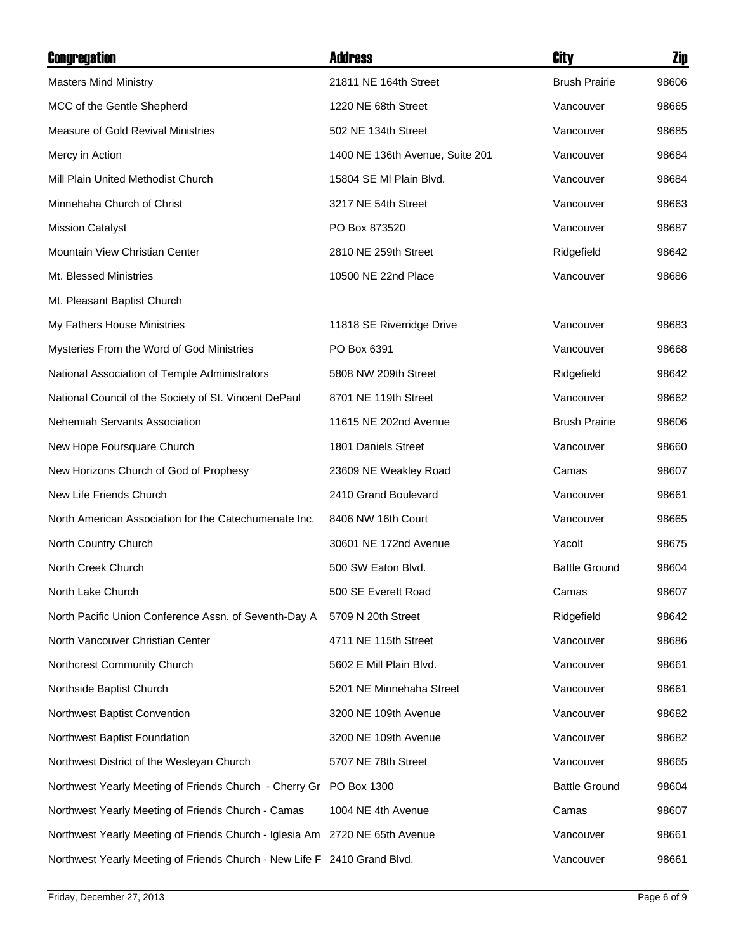| <b>Congregation</b>                                                         | <b>Address</b>                  | City                 | <b>Zip</b> |
|-----------------------------------------------------------------------------|---------------------------------|----------------------|------------|
| <b>Masters Mind Ministry</b>                                                | 21811 NE 164th Street           | <b>Brush Prairie</b> | 98606      |
| MCC of the Gentle Shepherd                                                  | 1220 NE 68th Street             | Vancouver            | 98665      |
| <b>Measure of Gold Revival Ministries</b>                                   | 502 NE 134th Street             | Vancouver            | 98685      |
| Mercy in Action                                                             | 1400 NE 136th Avenue, Suite 201 | Vancouver            | 98684      |
| Mill Plain United Methodist Church                                          | 15804 SE MI Plain Blvd.         | Vancouver            | 98684      |
| Minnehaha Church of Christ                                                  | 3217 NE 54th Street             | Vancouver            | 98663      |
| <b>Mission Catalyst</b>                                                     | PO Box 873520                   | Vancouver            | 98687      |
| Mountain View Christian Center                                              | 2810 NE 259th Street            | Ridgefield           | 98642      |
| Mt. Blessed Ministries                                                      | 10500 NE 22nd Place             | Vancouver            | 98686      |
| Mt. Pleasant Baptist Church                                                 |                                 |                      |            |
| My Fathers House Ministries                                                 | 11818 SE Riverridge Drive       | Vancouver            | 98683      |
| Mysteries From the Word of God Ministries                                   | PO Box 6391                     | Vancouver            | 98668      |
| National Association of Temple Administrators                               | 5808 NW 209th Street            | Ridgefield           | 98642      |
| National Council of the Society of St. Vincent DePaul                       | 8701 NE 119th Street            | Vancouver            | 98662      |
| Nehemiah Servants Association                                               | 11615 NE 202nd Avenue           | <b>Brush Prairie</b> | 98606      |
| New Hope Foursquare Church                                                  | 1801 Daniels Street             | Vancouver            | 98660      |
| New Horizons Church of God of Prophesy                                      | 23609 NE Weakley Road           | Camas                | 98607      |
| New Life Friends Church                                                     | 2410 Grand Boulevard            | Vancouver            | 98661      |
| North American Association for the Catechumenate Inc.                       | 8406 NW 16th Court              | Vancouver            | 98665      |
| North Country Church                                                        | 30601 NE 172nd Avenue           | Yacolt               | 98675      |
| North Creek Church                                                          | 500 SW Eaton Blvd.              | <b>Battle Ground</b> | 98604      |
| North Lake Church                                                           | 500 SE Everett Road             | Camas                | 98607      |
| North Pacific Union Conference Assn. of Seventh-Day A                       | 5709 N 20th Street              | Ridgefield           | 98642      |
| North Vancouver Christian Center                                            | 4711 NE 115th Street            | Vancouver            | 98686      |
| Northcrest Community Church                                                 | 5602 E Mill Plain Blvd.         | Vancouver            | 98661      |
| Northside Baptist Church                                                    | 5201 NE Minnehaha Street        | Vancouver            | 98661      |
| Northwest Baptist Convention                                                | 3200 NE 109th Avenue            | Vancouver            | 98682      |
| Northwest Baptist Foundation                                                | 3200 NE 109th Avenue            | Vancouver            | 98682      |
| Northwest District of the Wesleyan Church                                   | 5707 NE 78th Street             | Vancouver            | 98665      |
| Northwest Yearly Meeting of Friends Church - Cherry Gr PO Box 1300          |                                 | <b>Battle Ground</b> | 98604      |
| Northwest Yearly Meeting of Friends Church - Camas                          | 1004 NE 4th Avenue              | Camas                | 98607      |
| Northwest Yearly Meeting of Friends Church - Iglesia Am 2720 NE 65th Avenue |                                 | Vancouver            | 98661      |
| Northwest Yearly Meeting of Friends Church - New Life F 2410 Grand Blvd.    |                                 | Vancouver            | 98661      |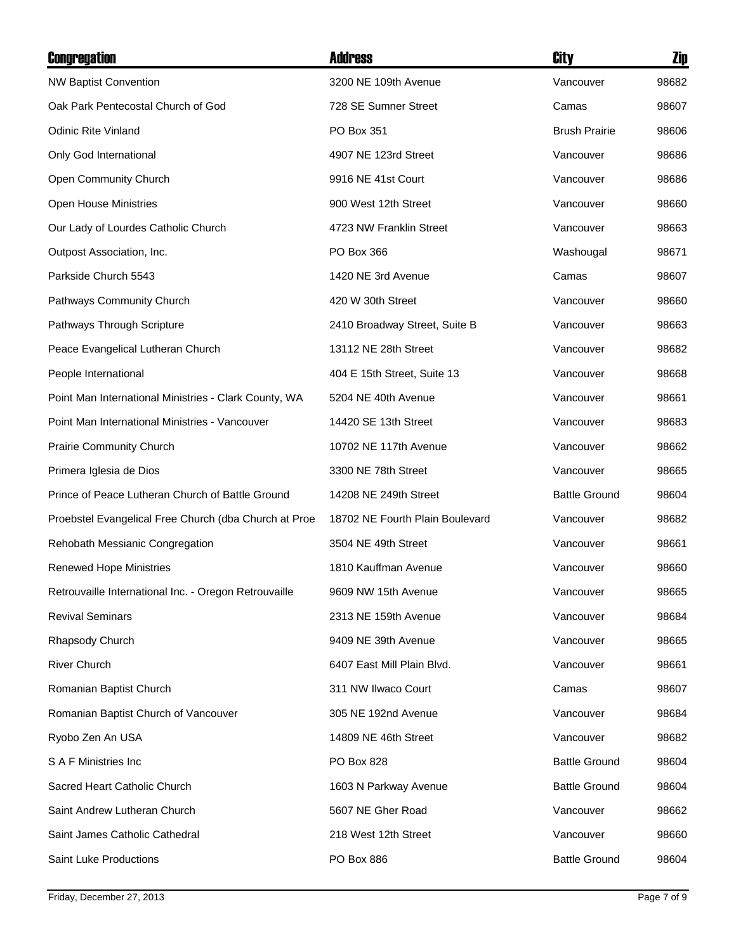| Congregation                                          | <b>Address</b>                  | City                 | Zip   |
|-------------------------------------------------------|---------------------------------|----------------------|-------|
| <b>NW Baptist Convention</b>                          | 3200 NE 109th Avenue            | Vancouver            | 98682 |
| Oak Park Pentecostal Church of God                    | 728 SE Sumner Street            | Camas                | 98607 |
| <b>Odinic Rite Vinland</b>                            | PO Box 351                      | <b>Brush Prairie</b> | 98606 |
| Only God International                                | 4907 NE 123rd Street            | Vancouver            | 98686 |
| Open Community Church                                 | 9916 NE 41st Court              | Vancouver            | 98686 |
| <b>Open House Ministries</b>                          | 900 West 12th Street            | Vancouver            | 98660 |
| Our Lady of Lourdes Catholic Church                   | 4723 NW Franklin Street         | Vancouver            | 98663 |
| Outpost Association, Inc.                             | PO Box 366                      | Washougal            | 98671 |
| Parkside Church 5543                                  | 1420 NE 3rd Avenue              | Camas                | 98607 |
| Pathways Community Church                             | 420 W 30th Street               | Vancouver            | 98660 |
| Pathways Through Scripture                            | 2410 Broadway Street, Suite B   | Vancouver            | 98663 |
| Peace Evangelical Lutheran Church                     | 13112 NE 28th Street            | Vancouver            | 98682 |
| People International                                  | 404 E 15th Street, Suite 13     | Vancouver            | 98668 |
| Point Man International Ministries - Clark County, WA | 5204 NE 40th Avenue             | Vancouver            | 98661 |
| Point Man International Ministries - Vancouver        | 14420 SE 13th Street            | Vancouver            | 98683 |
| Prairie Community Church                              | 10702 NE 117th Avenue           | Vancouver            | 98662 |
| Primera Iglesia de Dios                               | 3300 NE 78th Street             | Vancouver            | 98665 |
| Prince of Peace Lutheran Church of Battle Ground      | 14208 NE 249th Street           | <b>Battle Ground</b> | 98604 |
| Proebstel Evangelical Free Church (dba Church at Proe | 18702 NE Fourth Plain Boulevard | Vancouver            | 98682 |
| Rehobath Messianic Congregation                       | 3504 NE 49th Street             | Vancouver            | 98661 |
| <b>Renewed Hope Ministries</b>                        | 1810 Kauffman Avenue            | Vancouver            | 98660 |
| Retrouvaille International Inc. - Oregon Retrouvaille | 9609 NW 15th Avenue             | Vancouver            | 98665 |
| <b>Revival Seminars</b>                               | 2313 NE 159th Avenue            | Vancouver            | 98684 |
| Rhapsody Church                                       | 9409 NE 39th Avenue             | Vancouver            | 98665 |
| <b>River Church</b>                                   | 6407 East Mill Plain Blvd.      | Vancouver            | 98661 |
| Romanian Baptist Church                               | 311 NW Ilwaco Court             | Camas                | 98607 |
| Romanian Baptist Church of Vancouver                  | 305 NE 192nd Avenue             | Vancouver            | 98684 |
| Ryobo Zen An USA                                      | 14809 NE 46th Street            | Vancouver            | 98682 |
| S A F Ministries Inc                                  | PO Box 828                      | <b>Battle Ground</b> | 98604 |
| Sacred Heart Catholic Church                          | 1603 N Parkway Avenue           | <b>Battle Ground</b> | 98604 |
| Saint Andrew Lutheran Church                          | 5607 NE Gher Road               | Vancouver            | 98662 |
| Saint James Catholic Cathedral                        | 218 West 12th Street            | Vancouver            | 98660 |
| <b>Saint Luke Productions</b>                         | PO Box 886                      | <b>Battle Ground</b> | 98604 |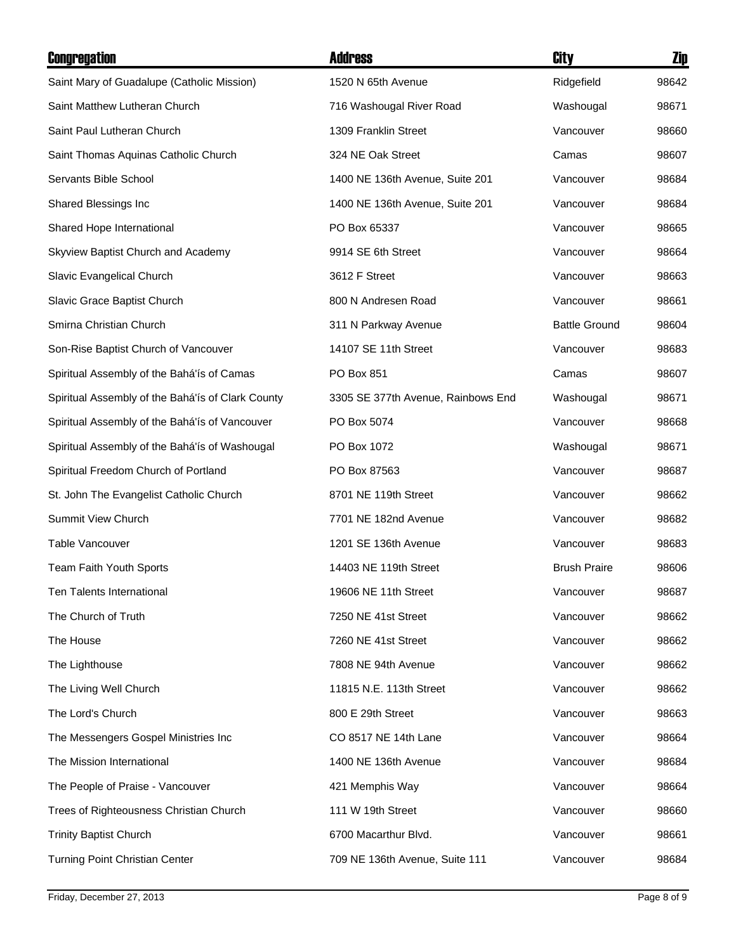| Congregation                                      | <b>Address</b>                     | City                 | Zip   |
|---------------------------------------------------|------------------------------------|----------------------|-------|
| Saint Mary of Guadalupe (Catholic Mission)        | 1520 N 65th Avenue                 | Ridgefield           | 98642 |
| Saint Matthew Lutheran Church                     | 716 Washougal River Road           | Washougal            | 98671 |
| Saint Paul Lutheran Church                        | 1309 Franklin Street               | Vancouver            | 98660 |
| Saint Thomas Aquinas Catholic Church              | 324 NE Oak Street                  | Camas                | 98607 |
| Servants Bible School                             | 1400 NE 136th Avenue, Suite 201    | Vancouver            | 98684 |
| Shared Blessings Inc                              | 1400 NE 136th Avenue, Suite 201    | Vancouver            | 98684 |
| Shared Hope International                         | PO Box 65337                       | Vancouver            | 98665 |
| Skyview Baptist Church and Academy                | 9914 SE 6th Street                 | Vancouver            | 98664 |
| Slavic Evangelical Church                         | 3612 F Street                      | Vancouver            | 98663 |
| Slavic Grace Baptist Church                       | 800 N Andresen Road                | Vancouver            | 98661 |
| Smirna Christian Church                           | 311 N Parkway Avenue               | <b>Battle Ground</b> | 98604 |
| Son-Rise Baptist Church of Vancouver              | 14107 SE 11th Street               | Vancouver            | 98683 |
| Spiritual Assembly of the Bahá'ís of Camas        | PO Box 851                         | Camas                | 98607 |
| Spiritual Assembly of the Bahá'ís of Clark County | 3305 SE 377th Avenue, Rainbows End | Washougal            | 98671 |
| Spiritual Assembly of the Bahá'ís of Vancouver    | PO Box 5074                        | Vancouver            | 98668 |
| Spiritual Assembly of the Bahá'ís of Washougal    | PO Box 1072                        | Washougal            | 98671 |
| Spiritual Freedom Church of Portland              | PO Box 87563                       | Vancouver            | 98687 |
| St. John The Evangelist Catholic Church           | 8701 NE 119th Street               | Vancouver            | 98662 |
| Summit View Church                                | 7701 NE 182nd Avenue               | Vancouver            | 98682 |
| Table Vancouver                                   | 1201 SE 136th Avenue               | Vancouver            | 98683 |
| Team Faith Youth Sports                           | 14403 NE 119th Street              | <b>Brush Praire</b>  | 98606 |
| <b>Ten Talents International</b>                  | 19606 NE 11th Street               | Vancouver            | 98687 |
| The Church of Truth                               | 7250 NE 41st Street                | Vancouver            | 98662 |
| The House                                         | 7260 NE 41st Street                | Vancouver            | 98662 |
| The Lighthouse                                    | 7808 NE 94th Avenue                | Vancouver            | 98662 |
| The Living Well Church                            | 11815 N.E. 113th Street            | Vancouver            | 98662 |
| The Lord's Church                                 | 800 E 29th Street                  | Vancouver            | 98663 |
| The Messengers Gospel Ministries Inc              | CO 8517 NE 14th Lane               | Vancouver            | 98664 |
| The Mission International                         | 1400 NE 136th Avenue               | Vancouver            | 98684 |
| The People of Praise - Vancouver                  | 421 Memphis Way                    | Vancouver            | 98664 |
| Trees of Righteousness Christian Church           | 111 W 19th Street                  | Vancouver            | 98660 |
| <b>Trinity Baptist Church</b>                     | 6700 Macarthur Blvd.               | Vancouver            | 98661 |
| Turning Point Christian Center                    | 709 NE 136th Avenue, Suite 111     | Vancouver            | 98684 |